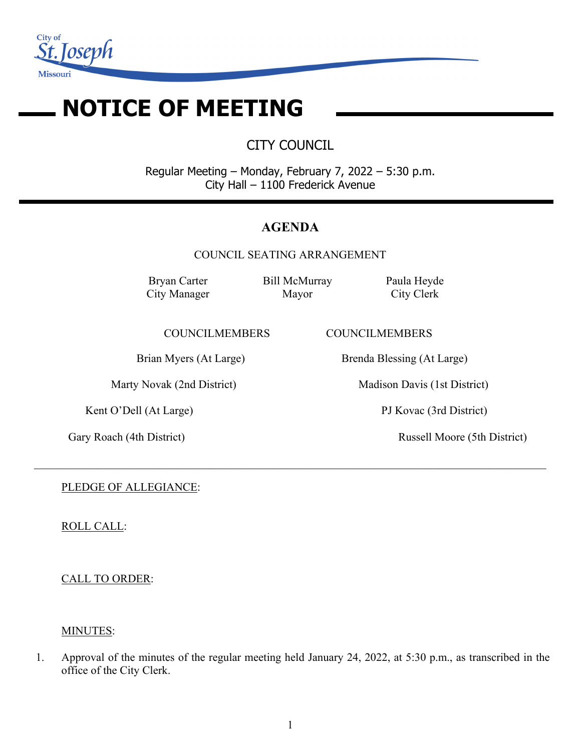

# **NOTICE OF MEETING**

CITY COUNCIL

Regular Meeting – Monday, February 7, 2022 – 5:30 p.m. City Hall – 1100 Frederick Avenue

# **AGENDA**

COUNCIL SEATING ARRANGEMENT

 $\_$  , and the set of the set of the set of the set of the set of the set of the set of the set of the set of the set of the set of the set of the set of the set of the set of the set of the set of the set of the set of th

Bryan Carter City Manager Bill McMurray Mayor

Paula Heyde City Clerk

COUNCILMEMBERS COUNCILMEMBERS

Kent O'Dell (At Large) PJ Kovac (3rd District)

Brian Myers (At Large) Brenda Blessing (At Large)

Marty Novak (2nd District) Madison Davis (1st District)

Gary Roach (4th District) Russell Moore (5th District)

PLEDGE OF ALLEGIANCE:

ROLL CALL:

CALL TO ORDER:

# MINUTES:

1. Approval of the minutes of the regular meeting held January 24, 2022, at 5:30 p.m., as transcribed in the office of the City Clerk.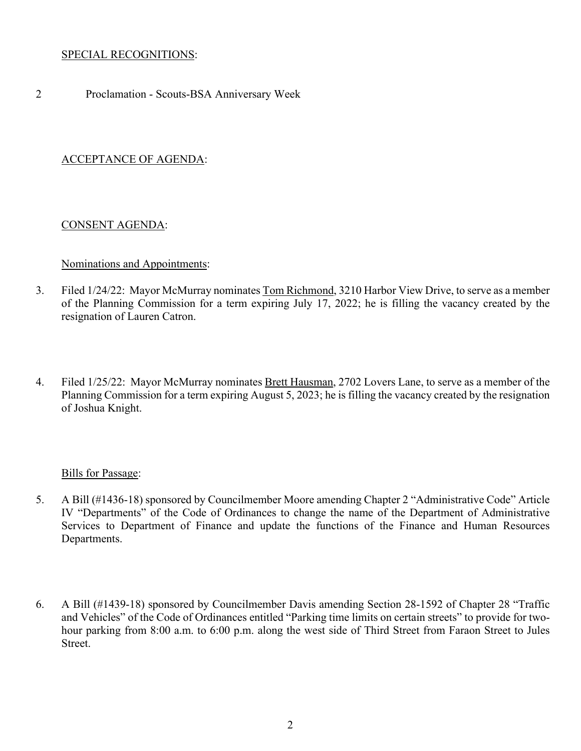#### SPECIAL RECOGNITIONS:

2 Proclamation - Scouts-BSA Anniversary Week

# ACCEPTANCE OF AGENDA:

#### CONSENT AGENDA:

#### Nominations and Appointments:

- 3. Filed 1/24/22: Mayor McMurray nominates Tom Richmond, 3210 Harbor View Drive, to serve as a member of the Planning Commission for a term expiring July 17, 2022; he is filling the vacancy created by the resignation of Lauren Catron.
- 4. Filed 1/25/22: Mayor McMurray nominates Brett Hausman, 2702 Lovers Lane, to serve as a member of the Planning Commission for a term expiring August 5, 2023; he is filling the vacancy created by the resignation of Joshua Knight.

#### Bills for Passage:

- 5. A Bill (#1436-18) sponsored by Councilmember Moore amending Chapter 2 "Administrative Code" Article IV "Departments" of the Code of Ordinances to change the name of the Department of Administrative Services to Department of Finance and update the functions of the Finance and Human Resources Departments.
- 6. A Bill (#1439-18) sponsored by Councilmember Davis amending Section 28-1592 of Chapter 28 "Traffic and Vehicles" of the Code of Ordinances entitled "Parking time limits on certain streets" to provide for twohour parking from 8:00 a.m. to 6:00 p.m. along the west side of Third Street from Faraon Street to Jules Street.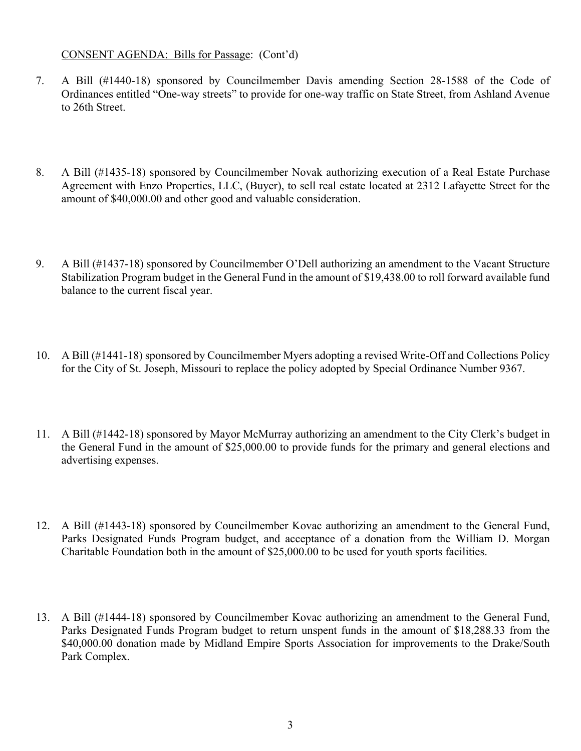#### CONSENT AGENDA: Bills for Passage: (Cont'd)

- 7. A Bill (#1440-18) sponsored by Councilmember Davis amending Section 28-1588 of the Code of Ordinances entitled "One-way streets" to provide for one-way traffic on State Street, from Ashland Avenue to 26th Street.
- 8. A Bill (#1435-18) sponsored by Councilmember Novak authorizing execution of a Real Estate Purchase Agreement with Enzo Properties, LLC, (Buyer), to sell real estate located at 2312 Lafayette Street for the amount of \$40,000.00 and other good and valuable consideration.
- 9. A Bill (#1437-18) sponsored by Councilmember O'Dell authorizing an amendment to the Vacant Structure Stabilization Program budget in the General Fund in the amount of \$19,438.00 to roll forward available fund balance to the current fiscal year.
- 10. A Bill (#1441-18) sponsored by Councilmember Myers adopting a revised Write-Off and Collections Policy for the City of St. Joseph, Missouri to replace the policy adopted by Special Ordinance Number 9367.
- 11. A Bill (#1442-18) sponsored by Mayor McMurray authorizing an amendment to the City Clerk's budget in the General Fund in the amount of \$25,000.00 to provide funds for the primary and general elections and advertising expenses.
- 12. A Bill (#1443-18) sponsored by Councilmember Kovac authorizing an amendment to the General Fund, Parks Designated Funds Program budget, and acceptance of a donation from the William D. Morgan Charitable Foundation both in the amount of \$25,000.00 to be used for youth sports facilities.
- 13. A Bill (#1444-18) sponsored by Councilmember Kovac authorizing an amendment to the General Fund, Parks Designated Funds Program budget to return unspent funds in the amount of \$18,288.33 from the \$40,000.00 donation made by Midland Empire Sports Association for improvements to the Drake/South Park Complex.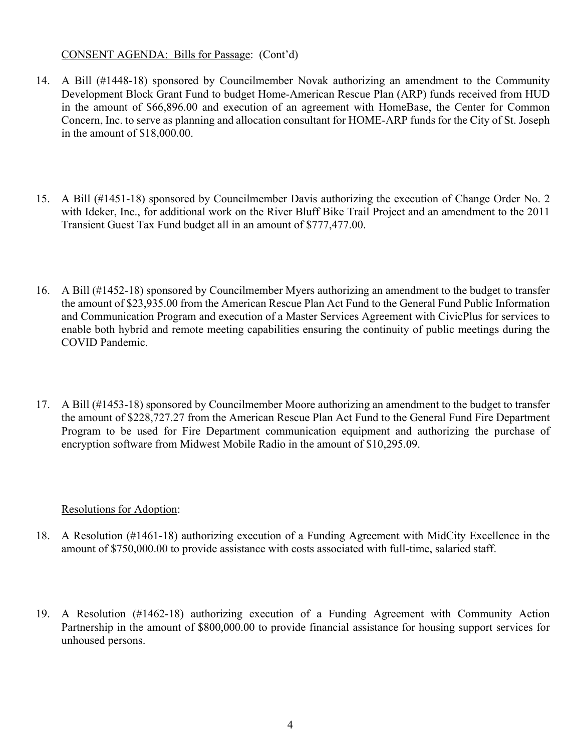# CONSENT AGENDA: Bills for Passage: (Cont'd)

- 14. A Bill (#1448-18) sponsored by Councilmember Novak authorizing an amendment to the Community Development Block Grant Fund to budget Home-American Rescue Plan (ARP) funds received from HUD in the amount of \$66,896.00 and execution of an agreement with HomeBase, the Center for Common Concern, Inc. to serve as planning and allocation consultant for HOME-ARP funds for the City of St. Joseph in the amount of \$18,000.00.
- 15. A Bill (#1451-18) sponsored by Councilmember Davis authorizing the execution of Change Order No. 2 with Ideker, Inc., for additional work on the River Bluff Bike Trail Project and an amendment to the 2011 Transient Guest Tax Fund budget all in an amount of \$777,477.00.
- 16. A Bill (#1452-18) sponsored by Councilmember Myers authorizing an amendment to the budget to transfer the amount of \$23,935.00 from the American Rescue Plan Act Fund to the General Fund Public Information and Communication Program and execution of a Master Services Agreement with CivicPlus for services to enable both hybrid and remote meeting capabilities ensuring the continuity of public meetings during the COVID Pandemic.
- 17. A Bill (#1453-18) sponsored by Councilmember Moore authorizing an amendment to the budget to transfer the amount of \$228,727.27 from the American Rescue Plan Act Fund to the General Fund Fire Department Program to be used for Fire Department communication equipment and authorizing the purchase of encryption software from Midwest Mobile Radio in the amount of \$10,295.09.

# Resolutions for Adoption:

- 18. A Resolution (#1461-18) authorizing execution of a Funding Agreement with MidCity Excellence in the amount of \$750,000.00 to provide assistance with costs associated with full-time, salaried staff.
- 19. A Resolution (#1462-18) authorizing execution of a Funding Agreement with Community Action Partnership in the amount of \$800,000.00 to provide financial assistance for housing support services for unhoused persons.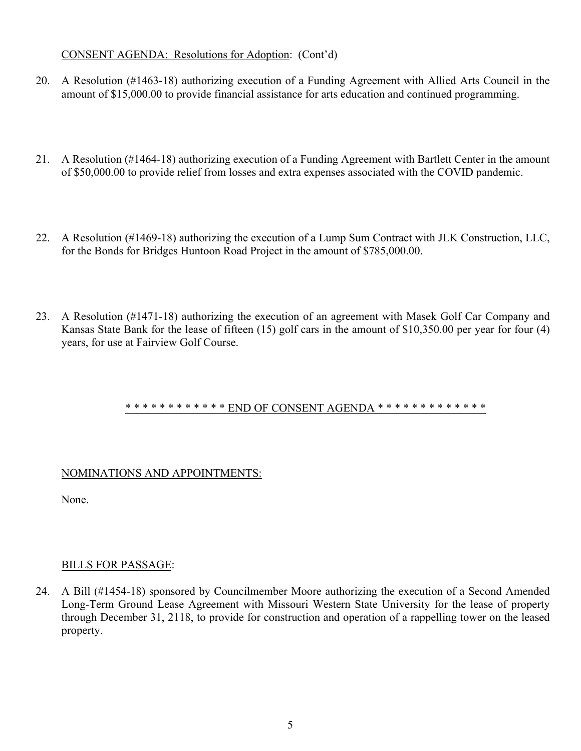# CONSENT AGENDA: Resolutions for Adoption: (Cont'd)

- 20. A Resolution (#1463-18) authorizing execution of a Funding Agreement with Allied Arts Council in the amount of \$15,000.00 to provide financial assistance for arts education and continued programming.
- 21. A Resolution (#1464-18) authorizing execution of a Funding Agreement with Bartlett Center in the amount of \$50,000.00 to provide relief from losses and extra expenses associated with the COVID pandemic.
- 22. A Resolution (#1469-18) authorizing the execution of a Lump Sum Contract with JLK Construction, LLC, for the Bonds for Bridges Huntoon Road Project in the amount of \$785,000.00.
- 23. A Resolution (#1471-18) authorizing the execution of an agreement with Masek Golf Car Company and Kansas State Bank for the lease of fifteen (15) golf cars in the amount of \$10,350.00 per year for four (4) years, for use at Fairview Golf Course.

# \* \* \* \* \* \* \* \* \* \* \* \* END OF CONSENT AGENDA \* \* \* \* \* \* \* \* \* \* \* \* \* \* \*

# NOMINATIONS AND APPOINTMENTS:

None.

# BILLS FOR PASSAGE:

24. A Bill (#1454-18) sponsored by Councilmember Moore authorizing the execution of a Second Amended Long-Term Ground Lease Agreement with Missouri Western State University for the lease of property through December 31, 2118, to provide for construction and operation of a rappelling tower on the leased property.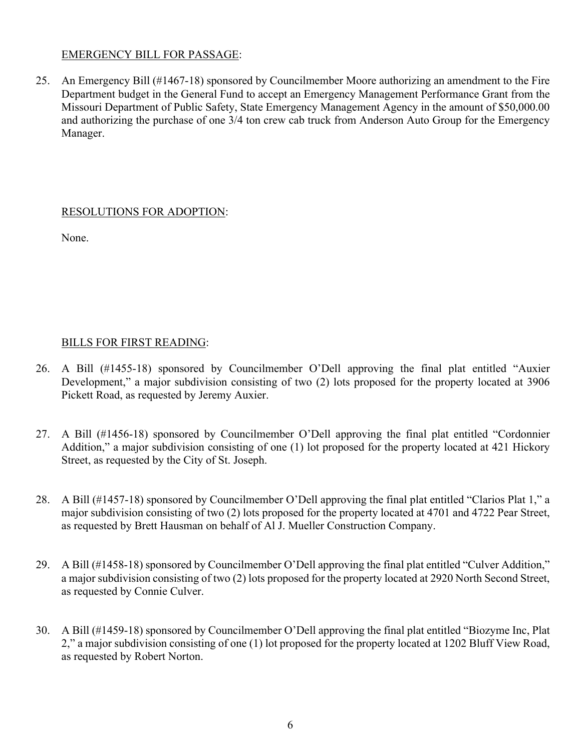# EMERGENCY BILL FOR PASSAGE:

25. An Emergency Bill (#1467-18) sponsored by Councilmember Moore authorizing an amendment to the Fire Department budget in the General Fund to accept an Emergency Management Performance Grant from the Missouri Department of Public Safety, State Emergency Management Agency in the amount of \$50,000.00 and authorizing the purchase of one 3/4 ton crew cab truck from Anderson Auto Group for the Emergency Manager.

# RESOLUTIONS FOR ADOPTION:

None.

# BILLS FOR FIRST READING:

- 26. A Bill (#1455-18) sponsored by Councilmember O'Dell approving the final plat entitled "Auxier Development," a major subdivision consisting of two (2) lots proposed for the property located at 3906 Pickett Road, as requested by Jeremy Auxier.
- 27. A Bill (#1456-18) sponsored by Councilmember O'Dell approving the final plat entitled "Cordonnier Addition," a major subdivision consisting of one (1) lot proposed for the property located at 421 Hickory Street, as requested by the City of St. Joseph.
- 28. A Bill (#1457-18) sponsored by Councilmember O'Dell approving the final plat entitled "Clarios Plat 1," a major subdivision consisting of two (2) lots proposed for the property located at 4701 and 4722 Pear Street, as requested by Brett Hausman on behalf of Al J. Mueller Construction Company.
- 29. A Bill (#1458-18) sponsored by Councilmember O'Dell approving the final plat entitled "Culver Addition," a major subdivision consisting of two (2) lots proposed for the property located at 2920 North Second Street, as requested by Connie Culver.
- 30. A Bill (#1459-18) sponsored by Councilmember O'Dell approving the final plat entitled "Biozyme Inc, Plat 2," a major subdivision consisting of one (1) lot proposed for the property located at 1202 Bluff View Road, as requested by Robert Norton.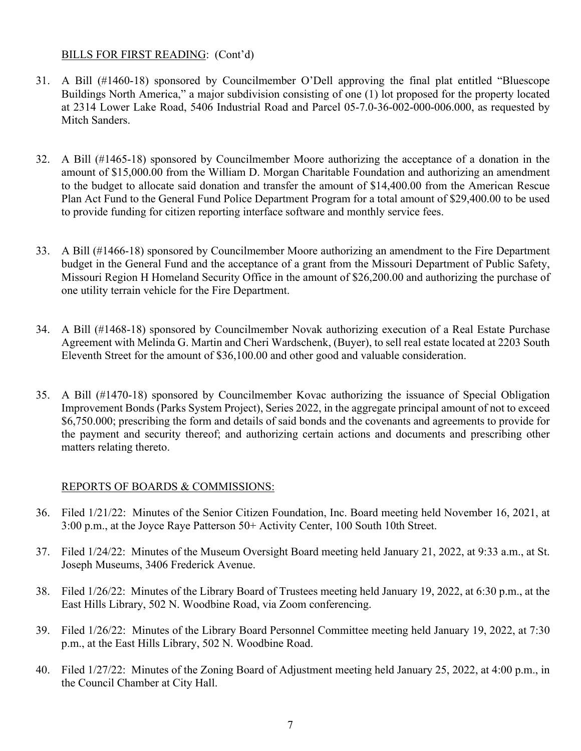## BILLS FOR FIRST READING: (Cont'd)

- 31. A Bill (#1460-18) sponsored by Councilmember O'Dell approving the final plat entitled "Bluescope Buildings North America," a major subdivision consisting of one (1) lot proposed for the property located at 2314 Lower Lake Road, 5406 Industrial Road and Parcel 05-7.0-36-002-000-006.000, as requested by Mitch Sanders.
- 32. A Bill (#1465-18) sponsored by Councilmember Moore authorizing the acceptance of a donation in the amount of \$15,000.00 from the William D. Morgan Charitable Foundation and authorizing an amendment to the budget to allocate said donation and transfer the amount of \$14,400.00 from the American Rescue Plan Act Fund to the General Fund Police Department Program for a total amount of \$29,400.00 to be used to provide funding for citizen reporting interface software and monthly service fees.
- 33. A Bill (#1466-18) sponsored by Councilmember Moore authorizing an amendment to the Fire Department budget in the General Fund and the acceptance of a grant from the Missouri Department of Public Safety, Missouri Region H Homeland Security Office in the amount of \$26,200.00 and authorizing the purchase of one utility terrain vehicle for the Fire Department.
- 34. A Bill (#1468-18) sponsored by Councilmember Novak authorizing execution of a Real Estate Purchase Agreement with Melinda G. Martin and Cheri Wardschenk, (Buyer), to sell real estate located at 2203 South Eleventh Street for the amount of \$36,100.00 and other good and valuable consideration.
- 35. A Bill (#1470-18) sponsored by Councilmember Kovac authorizing the issuance of Special Obligation Improvement Bonds (Parks System Project), Series 2022, in the aggregate principal amount of not to exceed \$6,750.000; prescribing the form and details of said bonds and the covenants and agreements to provide for the payment and security thereof; and authorizing certain actions and documents and prescribing other matters relating thereto.

# REPORTS OF BOARDS & COMMISSIONS:

- 36. Filed 1/21/22: Minutes of the Senior Citizen Foundation, Inc. Board meeting held November 16, 2021, at 3:00 p.m., at the Joyce Raye Patterson 50+ Activity Center, 100 South 10th Street.
- 37. Filed 1/24/22: Minutes of the Museum Oversight Board meeting held January 21, 2022, at 9:33 a.m., at St. Joseph Museums, 3406 Frederick Avenue.
- 38. Filed 1/26/22: Minutes of the Library Board of Trustees meeting held January 19, 2022, at 6:30 p.m., at the East Hills Library, 502 N. Woodbine Road, via Zoom conferencing.
- 39. Filed 1/26/22: Minutes of the Library Board Personnel Committee meeting held January 19, 2022, at 7:30 p.m., at the East Hills Library, 502 N. Woodbine Road.
- 40. Filed 1/27/22: Minutes of the Zoning Board of Adjustment meeting held January 25, 2022, at 4:00 p.m., in the Council Chamber at City Hall.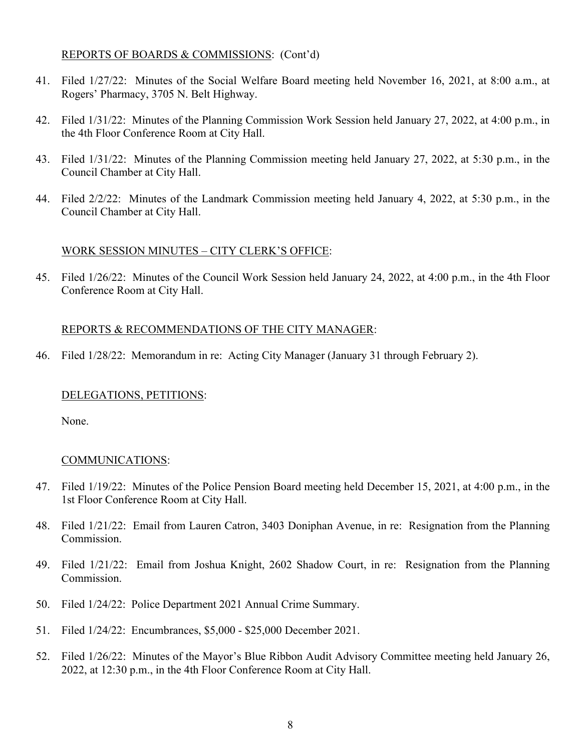#### REPORTS OF BOARDS & COMMISSIONS: (Cont'd)

- 41. Filed 1/27/22: Minutes of the Social Welfare Board meeting held November 16, 2021, at 8:00 a.m., at Rogers' Pharmacy, 3705 N. Belt Highway.
- 42. Filed 1/31/22: Minutes of the Planning Commission Work Session held January 27, 2022, at 4:00 p.m., in the 4th Floor Conference Room at City Hall.
- 43. Filed 1/31/22: Minutes of the Planning Commission meeting held January 27, 2022, at 5:30 p.m., in the Council Chamber at City Hall.
- 44. Filed 2/2/22: Minutes of the Landmark Commission meeting held January 4, 2022, at 5:30 p.m., in the Council Chamber at City Hall.

#### WORK SESSION MINUTES – CITY CLERK'S OFFICE:

45. Filed 1/26/22: Minutes of the Council Work Session held January 24, 2022, at 4:00 p.m., in the 4th Floor Conference Room at City Hall.

#### REPORTS & RECOMMENDATIONS OF THE CITY MANAGER:

46. Filed 1/28/22: Memorandum in re: Acting City Manager (January 31 through February 2).

#### DELEGATIONS, PETITIONS:

None.

#### COMMUNICATIONS:

- 47. Filed 1/19/22: Minutes of the Police Pension Board meeting held December 15, 2021, at 4:00 p.m., in the 1st Floor Conference Room at City Hall.
- 48. Filed 1/21/22: Email from Lauren Catron, 3403 Doniphan Avenue, in re: Resignation from the Planning Commission.
- 49. Filed 1/21/22: Email from Joshua Knight, 2602 Shadow Court, in re: Resignation from the Planning Commission.
- 50. Filed 1/24/22: Police Department 2021 Annual Crime Summary.
- 51. Filed 1/24/22: Encumbrances, \$5,000 \$25,000 December 2021.
- 52. Filed 1/26/22: Minutes of the Mayor's Blue Ribbon Audit Advisory Committee meeting held January 26, 2022, at 12:30 p.m., in the 4th Floor Conference Room at City Hall.